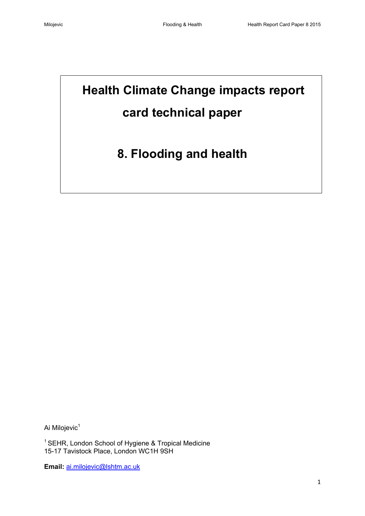# **Health Climate Change impacts report card technical paper**

# **8. Flooding and health**

Ai Milojevic<sup>1</sup>

<sup>1</sup> SEHR, London School of Hygiene & Tropical Medicine 15-17 Tavistock Place, London WC1H 9SH

**Email:** [ai.milojevic@lshtm.ac.uk](mailto:ai.milojevic@lshtm.ac.uk)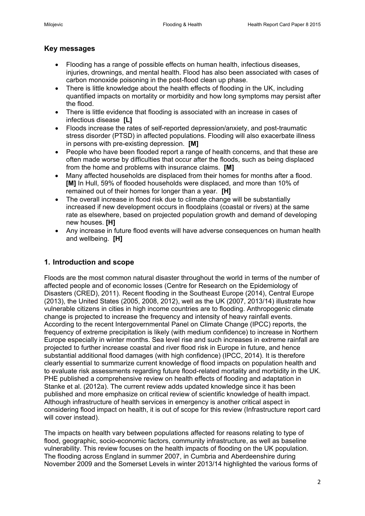# **Key messages**

- Flooding has a range of possible effects on human health, infectious diseases, injuries, drownings, and mental health. Flood has also been associated with cases of carbon monoxide poisoning in the post-flood clean up phase.
- There is little knowledge about the health effects of flooding in the UK, including quantified impacts on mortality or morbidity and how long symptoms may persist after the flood.
- There is little evidence that flooding is associated with an increase in cases of infectious disease **[L]**
- Floods increase the rates of self-reported depression/anxiety, and post-traumatic stress disorder (PTSD) in affected populations. Flooding will also exacerbate illness in persons with pre-existing depression. **[M]**
- People who have been flooded report a range of health concerns, and that these are often made worse by difficulties that occur after the floods, such as being displaced from the home and problems with insurance claims. **[M]**
- Many affected households are displaced from their homes for months after a flood. **[M]** In Hull, 59% of flooded households were displaced, and more than 10% of remained out of their homes for longer than a year. **[H]**
- The overall increase in flood risk due to climate change will be substantially increased if new development occurs in floodplains (coastal or rivers) at the same rate as elsewhere, based on projected population growth and demand of developing new houses. **[H]**
- Any increase in future flood events will have adverse consequences on human health and wellbeing. **[H]**

# **1. Introduction and scope**

Floods are the most common natural disaster throughout the world in terms of the number of affected people and of economic losses [\(Centre for Research on the Epidemiology of](#page-15-0)  [Disasters \(CRED\), 2011\)](#page-15-0). Recent flooding in the Southeast Europe (2014), Central Europe (2013), the United States (2005, 2008, 2012), well as the UK (2007, 2013/14) illustrate how vulnerable citizens in cities in high income countries are to flooding. Anthropogenic climate change is projected to increase the frequency and intensity of heavy rainfall events. According to the recent Intergovernmental Panel on Climate Change (IPCC) reports, the frequency of extreme precipitation is likely (with medium confidence) to increase in Northern Europe especially in winter months. Sea level rise and such increases in extreme rainfall are projected to further increase coastal and river flood risk in Europe in future, and hence substantial additional flood damages (with high confidence) [\(IPCC, 2014\)](#page-16-0). It is therefore clearly essential to summarize current knowledge of flood impacts on population health and to evaluate risk assessments regarding future flood-related mortality and morbidity in the UK. PHE published a comprehensive review on health effects of flooding and adaptation in [Stanke et al. \(2012a\).](#page-17-0) The current review adds updated knowledge since it has been published and more emphasize on critical review of scientific knowledge of health impact. Although infrastructure of health services in emergency is another critical aspect in considering flood impact on health, it is out of scope for this review (Infrastructure report card will cover instead).

The impacts on health vary between populations affected for reasons relating to type of flood, geographic, socio-economic factors, community infrastructure, as well as baseline vulnerability. This review focuses on the health impacts of flooding on the UK population. The flooding across England in summer 2007, in Cumbria and Aberdeenshire during November 2009 and the Somerset Levels in winter 2013/14 highlighted the various forms of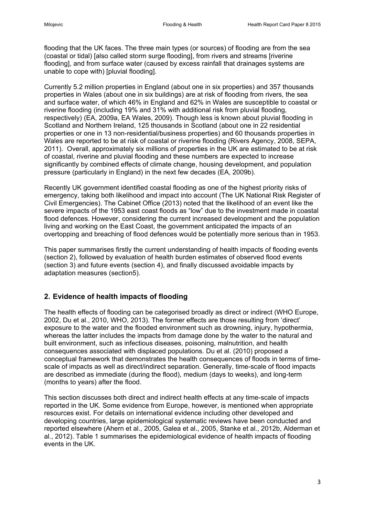flooding that the UK faces. The three main types (or sources) of flooding are from the sea (coastal or tidal) [also called storm surge flooding], from rivers and streams [riverine flooding], and from surface water (caused by excess rainfall that drainages systems are unable to cope with) [pluvial flooding].

Currently 5.2 million properties in England (about one in six properties) and 357 thousands properties in Wales (about one in six buildings) are at risk of flooding from rivers, the sea and surface water, of which 46% in England and 62% in Wales are susceptible to coastal or riverine flooding (including 19% and 31% with additional risk from pluvial flooding, respectively) [\(EA, 2009a,](#page-15-1) [EA Wales, 2009\)](#page-15-2). Though less is known about pluvial flooding in Scotland and Northern Ireland, 125 thousands in Scotland (about one in 22 residential properties or one in 13 non-residential/business properties) and 60 thousands properties in Wales are reported to be at risk of coastal or riverine flooding [\(Rivers Agency, 2008,](#page-17-1) [SEPA,](#page-17-2)  [2011\)](#page-17-2). Overall, approximately six millions of properties in the UK are estimated to be at risk of coastal, riverine and pluvial flooding and these numbers are expected to increase significantly by combined effects of climate change, housing development, and population pressure (particularly in England) in the next few decades [\(EA, 2009b\)](#page-15-1).

Recently UK government identified coastal flooding as one of the highest priority risks of emergency, taking both likelihood and impact into account (The UK National Risk Register of Civil Emergencies). The [Cabinet Office \(2013\)](#page-15-3) noted that the likelihood of an event like the severe impacts of the 1953 east coast floods as "low" due to the investment made in coastal flood defences. However, considering the current increased development and the population living and working on the East Coast, the government anticipated the impacts of an overtopping and breaching of flood defences would be potentially more serious than in 1953.

This paper summarises firstly the current understanding of health impacts of flooding events (section 2), followed by evaluation of health burden estimates of observed flood events (section 3) and future events (section 4), and finally discussed avoidable impacts by adaptation measures (section5).

# **2. Evidence of health impacts of flooding**

The health effects of flooding can be categorised broadly as direct or indirect [\(WHO Europe,](#page-17-3)  [2002,](#page-17-3) [Du et al., 2010,](#page-15-4) [WHO, 2013\)](#page-17-4). The former effects are those resulting from 'direct' exposure to the water and the flooded environment such as drowning, injury, hypothermia, whereas the latter includes the impacts from damage done by the water to the natural and built environment, such as infectious diseases, poisoning, malnutrition, and health consequences associated with displaced populations. Du et al. (2010) proposed a conceptual framework that demonstrates the health consequences of floods in terms of timescale of impacts as well as direct/indirect separation. Generally, time-scale of flood impacts are described as immediate (during the flood), medium (days to weeks), and long-term (months to years) after the flood.

This section discusses both direct and indirect health effects at any time-scale of impacts reported in the UK. Some evidence from Europe, however, is mentioned when appropriate resources exist. For details on international evidence including other developed and developing countries, large epidemiological systematic reviews have been conducted and reported elsewhere [\(Ahern et al., 2005,](#page-15-5) [Galea et al., 2005,](#page-15-6) [Stanke et al., 2012b,](#page-17-1) [Alderman et](#page-15-7)  [al., 2012\)](#page-15-7). Table 1 summarises the epidemiological evidence of health impacts of flooding events in the UK.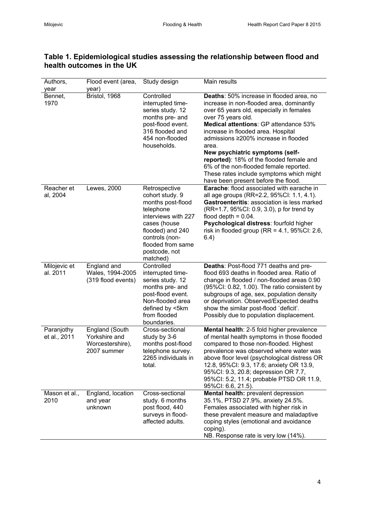| Authors,<br>year           | Flood event (area,<br>year)                                               | Study design                                                                                                                                                                                      | Main results                                                                                                                                                                                                                                                                                                                                                                                                                                                                                       |
|----------------------------|---------------------------------------------------------------------------|---------------------------------------------------------------------------------------------------------------------------------------------------------------------------------------------------|----------------------------------------------------------------------------------------------------------------------------------------------------------------------------------------------------------------------------------------------------------------------------------------------------------------------------------------------------------------------------------------------------------------------------------------------------------------------------------------------------|
| Bennet,<br>1970            | Bristol, 1968                                                             | Controlled<br>interrupted time-<br>series study. 12<br>months pre- and<br>post-flood event.<br>316 flooded and<br>454 non-flooded<br>households.                                                  | Deaths: 50% increase in flooded area, no<br>increase in non-flooded area, dominantly<br>over 65 years old, especially in females<br>over 75 years old.<br>Medical attentions: GP attendance 53%<br>increase in flooded area. Hospital<br>admissions ≥200% increase in flooded<br>area.<br>New psychiatric symptoms (self-<br>reported): 18% of the flooded female and<br>6% of the non-flooded female reported.<br>These rates include symptoms which might<br>have been present before the flood. |
| Reacher et<br>al, 2004     | Lewes, 2000                                                               | Retrospective<br>cohort study. 9<br>months post-flood<br>telephone<br>interviews with 227<br>cases (house<br>flooded) and 240<br>controls (non-<br>flooded from same<br>postcode, not<br>matched) | Earache: flood associated with earache in<br>all age groups (RR=2.2, 95%Cl: 1.1, 4.1).<br>Gastroenteritis: association is less marked<br>(RR=1.7, 95%CI: 0.9, 3.0), p for trend by<br>flood depth $= 0.04$ .<br>Psychological distress: fourfold higher<br>risk in flooded group (RR = $4.1$ , 95%CI: 2.6,<br>6.4)                                                                                                                                                                                 |
| Milojevic et<br>al. 2011   | England and<br>Wales, 1994-2005<br>(319 flood events)                     | Controlled<br>interrupted time-<br>series study. 12<br>months pre- and<br>post-flood event.<br>Non-flooded area<br>defined by <5km<br>from flooded<br>boundaries.                                 | Deaths: Post-flood 771 deaths and pre-<br>flood 693 deaths in flooded area. Ratio of<br>change in flooded / non-flooded areas 0.90<br>(95%CI: 0.82, 1.00). The ratio consistent by<br>subgroups of age, sex, population density<br>or deprivation. Observed/Expected deaths<br>show the similar post-flood 'deficit'.<br>Possibly due to population displacement.                                                                                                                                  |
| Paranjothy<br>et al., 2011 | <b>England (South</b><br>Yorkshire and<br>Worcestershire),<br>2007 summer | Cross-sectional<br>study by 3-6<br>months post-flood<br>telephone survey.<br>2265 individuals in<br>total.                                                                                        | Mental health: 2-5 fold higher prevalence<br>of mental health symptoms in those flooded<br>compared to those non-flooded. Highest<br>prevalence was observed where water was<br>above floor level (psychological distress OR<br>12.8, 95%CI: 9.3, 17.6; anxiety OR 13.9,<br>95%Cl: 9.3, 20.8; depression OR 7.7,<br>95%Cl: 5.2, 11.4; probable PTSD OR 11.9,<br>95%Cl: 6.6, 21.5).                                                                                                                 |
| Mason et al.,<br>2010      | England, location<br>and year<br>unknown                                  | Cross-sectional<br>study. 6 months<br>post flood, 440<br>surveys in flood-<br>affected adults.                                                                                                    | Mental health: prevalent depression<br>35.1%, PTSD 27.9%, anxiety 24.5%.<br>Females associated with higher risk in<br>these prevalent measure and maladaptive<br>coping styles (emotional and avoidance<br>coping).<br>NB. Response rate is very low (14%).                                                                                                                                                                                                                                        |

# **Table 1. Epidemiological studies assessing the relationship between flood and health outcomes in the UK**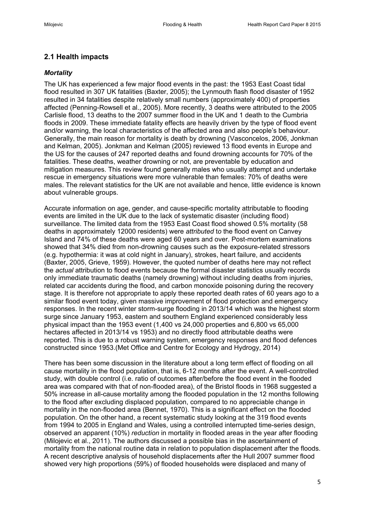## **2.1 Health impacts**

#### *Mortality*

The UK has experienced a few major flood events in the past: the 1953 East Coast tidal flood resulted in 307 UK fatalities [\(Baxter, 2005\)](#page-15-8); the Lynmouth flash flood disaster of 1952 resulted in 34 fatalities despite relatively small numbers (approximately 400) of properties affected [\(Penning-Rowsell et al., 2005\)](#page-16-1). More recently, 3 deaths were attributed to the 2005 Carlisle flood, 13 deaths to the 2007 summer flood in the UK and 1 death to the Cumbria floods in 2009. These immediate fatality effects are heavily driven by the type of flood event and/or warning, the local characteristics of the affected area and also people's behaviour. Generally, the main reason for mortality is death by drowning [\(Vasconcelos, 2006,](#page-17-5) [Jonkman](#page-16-2)  [and Kelman, 2005\)](#page-16-2). [Jonkman and Kelman \(2005\)](#page-16-2) reviewed 13 flood events in Europe and the US for the causes of 247 reported deaths and found drowning accounts for 70% of the fatalities. These deaths, weather drowning or not, are preventable by education and mitigation measures. This review found generally males who usually attempt and undertake rescue in emergency situations were more vulnerable than females: 70% of deaths were males. The relevant statistics for the UK are not available and hence, little evidence is known about vulnerable groups.

Accurate information on age, gender, and cause-specific mortality attributable to flooding events are limited in the UK due to the lack of systematic disaster (including flood) surveillance. The limited data from the 1953 East Coast flood showed 0.5% mortality (58 deaths in approximately 12000 residents) were *attributed* t*o* the flood event on Canvey Island and 74% of these deaths were aged 60 years and over. Post-mortem examinations showed that 34% died from non-drowning causes such as the exposure-related stressors (e.g. hypothermia: it was at cold night in January), strokes, heart failure, and accidents [\(Baxter, 2005,](#page-15-8) [Grieve, 1959\)](#page-15-9). However, the quoted number of deaths here may not reflect the *actual* attribution to flood events because the formal disaster statistics usually records only immediate traumatic deaths (namely drowning) without including deaths from injuries, related car accidents during the flood, and carbon monoxide poisoning during the recovery stage. It is therefore not appropriate to apply these reported death rates of 60 years ago to a similar flood event today, given massive improvement of flood protection and emergency responses. In the recent winter storm-surge flooding in 2013/14 which was the highest storm surge since January 1953, eastern and southern England experienced considerably less physical impact than the 1953 event (1,400 vs 24,000 properties and 6,800 vs 65,000 hectares affected in 2013/14 vs 1953) and no directly flood attributable deaths were reported. This is due to a robust warning system, emergency responses and flood defences constructed since 1953.[\(Met Office and Centre for Ecology and Hydrogy, 2014\)](#page-16-3)

There has been some discussion in the literature about a long term effect of flooding on all cause mortality in the flood population, that is, 6-12 months after the event. A well-controlled study, with double control (i.e. ratio of outcomes after/before the flood event in the flooded area was compared with that of non-flooded area), of the Bristol floods in 1968 suggested a 50% increase in all-cause mortality among the flooded population in the 12 months following to the flood after excluding displaced population, compared to no appreciable change in mortality in the non-flooded area [\(Bennet, 1970\)](#page-15-10). This is a significant effect on the flooded population. On the other hand, a recent systematic study looking at the 319 flood events from 1994 to 2005 in England and Wales, using a controlled interrupted time-series design, observed an apparent (10%) *reduction* in mortality in flooded areas in the year after flooding [\(Milojevic et al., 2011\)](#page-16-4). The authors discussed a possible bias in the ascertainment of mortality from the national routine data in relation to population displacement after the floods. A recent descriptive analysis of household displacements after the Hull 2007 summer flood showed very high proportions (59%) of flooded households were displaced and many of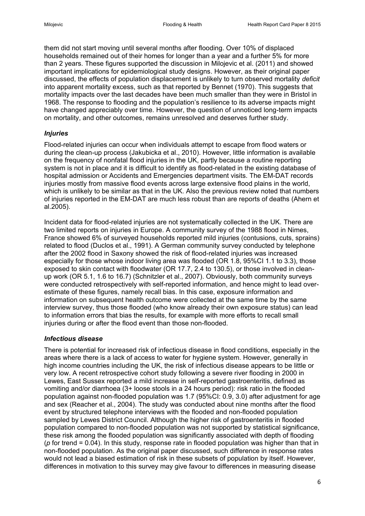them did not start moving until several months after flooding. Over 10% of displaced households remained out of their homes for longer than a year and a further 5% for more than 2 years. These figures supported the discussion in [Milojevic et al. \(2011\)](#page-16-4) and showed important implications for epidemiological study designs. However, as their original paper discussed, the effects of population displacement is unlikely to turn observed mortality *deficit* into apparent mortality excess, such as that reported by [Bennet \(1970\).](#page-15-10) This suggests that mortality impacts over the last decades have been much smaller than they were in Bristol in 1968. The response to flooding and the population's resilience to its adverse impacts might have changed appreciably over time. However, the question of unnoticed long-term impacts on mortality, and other outcomes, remains unresolved and deserves further study.

#### *Injuries*

Flood-related injuries can occur when individuals attempt to escape from flood waters or during the clean-up process [\(Jakubicka et al., 2010\)](#page-16-5). However, little information is available on the frequency of nonfatal flood injuries in the UK, partly because a routine reporting system is not in place and it is difficult to identify as flood-related in the existing database of hospital admission or Accidents and Emergencies department visits. The EM-DAT records injuries mostly from massive flood events across large extensive flood plains in the world, which is unlikely to be similar as that in the UK. Also the previous review noted that numbers of injuries reported in the EM-DAT are much less robust than are reports of deaths (Ahern et al.2005).

Incident data for flood-related injuries are not systematically collected in the UK. There are two limited reports on injuries in Europe. A community survey of the 1988 flood in Nimes, France showed 6% of surveyed households reported mild injuries (contusions, cuts, sprains) related to flood [\(Duclos et al., 1991\)](#page-15-11). A German community survey conducted by telephone after the 2002 flood in Saxony showed the risk of flood-related injuries was increased especially for those whose indoor living area was flooded (OR 1.8, 95%CI 1.1 to 3.3), those exposed to skin contact with floodwater (OR 17.7, 2.4 to 130.5), or those involved in cleanup work (OR 5.1, 1.6 to 16.7) [\(Schnitzler et al., 2007\)](#page-17-6). Obviously, both community surveys were conducted retrospectively with self-reported information, and hence might to lead overestimate of these figures, namely recall bias. In this case, exposure information and information on subsequent health outcome were collected at the same time by the same interview survey, thus those flooded (who know already their own exposure status) can lead to information errors that bias the results, for example with more efforts to recall small injuries during or after the flood event than those non-flooded.

#### *Infectious disease*

There is potential for increased risk of infectious disease in flood conditions, especially in the areas where there is a lack of access to water for hygiene system. However, generally in high income countries including the UK, the risk of infectious disease appears to be little or very low. A recent retrospective cohort study following a severe river flooding in 2000 in Lewes, East Sussex reported a mild increase in self-reported gastroenteritis, defined as vomiting and/or diarrhoea (3+ loose stools in a 24 hours period): risk ratio in the flooded population against non-flooded population was 1.7 (95%CI: 0.9, 3.0) after adjustment for age and sex [\(Reacher et al., 2004\)](#page-16-6). The study was conducted about nine months after the flood event by structured telephone interviews with the flooded and non-flooded population sampled by Lewes District Council. Although the higher risk of gastroenteritis in flooded population compared to non-flooded population was not supported by statistical significance, these risk among the flooded population was significantly associated with depth of flooding (*p* for trend = 0.04). In this study, response rate in flooded population was higher than that in non-flooded population. As the original paper discussed, such difference in response rates would not lead a biased estimation of risk in these subsets of population by itself. However, differences in motivation to this survey may give favour to differences in measuring disease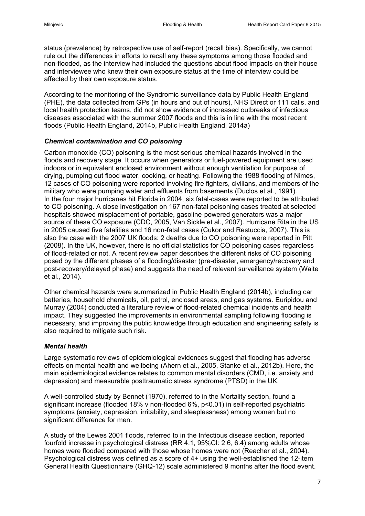status (prevalence) by retrospective use of self-report (recall bias). Specifically, we cannot rule out the differences in efforts to recall any these symptoms among those flooded and non-flooded, as the interview had included the questions about flood impacts on their house and interviewee who knew their own exposure status at the time of interview could be affected by their own exposure status.

According to the monitoring of the Syndromic surveillance data by Public Health England (PHE), the data collected from GPs (in hours and out of hours), NHS Direct or 111 calls, and local health protection teams, did not show evidence of increased outbreaks of infectious diseases associated with the summer 2007 floods and this is in line with the most recent floods [\(Public Health England, 2014b,](#page-16-7) [Public Health England, 2014a\)](#page-16-8)

#### *Chemical contamination and CO poisoning*

Carbon monoxide (CO) poisoning is the most serious chemical hazards involved in the floods and recovery stage. It occurs when generators or fuel-powered equipment are used indoors or in equivalent enclosed environment without enough ventilation for purpose of drying, pumping out flood water, cooking, or heating. Following the 1988 flooding of Nimes, 12 cases of CO poisoning were reported involving fire fighters, civilians, and members of the military who were pumping water and effluents from basements [\(Duclos et al., 1991\)](#page-15-11). In the four major hurricanes hit Florida in 2004, six fatal-cases were reported to be attributed to CO poisoning. A close investigation on 167 non-fatal poisoning cases treated at selected hospitals showed misplacement of portable, gasoline-powered generators was a major source of these CO exposure [\(CDC, 2005,](#page-15-12) [Van Sickle et al., 2007\)](#page-17-7). Hurricane Rita in the US in 2005 caused five fatalities and 16 non-fatal cases [\(Cukor and Restuccia, 2007\)](#page-15-13). This is also the case with the 2007 UK floods: 2 deaths due to CO poisoning were reported in [Pitt](#page-16-9)  (2008). In the UK, however, there is no official statistics for CO poisoning cases regardless of flood-related or not. A recent review paper describes the different risks of CO poisoning posed by the different phases of a flooding/disaster (pre-disaster, emergency/recovery and post-recovery/delayed phase) and suggests the need of relevant surveillance system [\(Waite](#page-17-8)  [et al., 2014\)](#page-17-8).

Other chemical hazards were summarized in [Public Health England \(2014b\),](#page-16-7) including car batteries, household chemicals, oil, petrol, enclosed areas, and gas systems. [Euripidou and](#page-15-2)  Murray (2004) conducted a literature review of flood-related chemical incidents and health impact. They suggested the improvements in environmental sampling following flooding is necessary, and improving the public knowledge through education and engineering safety is also required to mitigate such risk.

#### *Mental health*

Large systematic reviews of epidemiological evidences suggest that flooding has adverse effects on mental health and wellbeing [\(Ahern et al., 2005,](#page-15-5) [Stanke et al., 2012b\)](#page-17-1). Here, the main epidemiological evidence relates to common mental disorders (CMD, i.e. anxiety and depression) and measurable posttraumatic stress syndrome (PTSD) in the UK.

A well-controlled study by Bennet (1970), referred to in the Mortality section, found a significant increase (flooded 18% v non-flooded 6%, p<0.01) in self-reported psychiatric symptoms (anxiety, depression, irritability, and sleeplessness) among women but no significant difference for men.

A study of the Lewes 2001 floods, referred to in the Infectious disease section, reported fourfold increase in psychological distress (RR 4.1, 95%CI: 2.6, 6.4) among adults whose homes were flooded compared with those whose homes were not [\(Reacher et al., 2004\)](#page-16-6). Psychological distress was defined as a score of 4+ using the well-established the 12-item General Health Questionnaire (GHQ-12) scale administered 9 months after the flood event.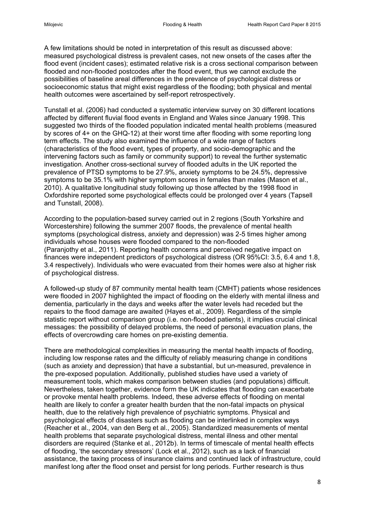A few limitations should be noted in interpretation of this result as discussed above: measured psychological distress is prevalent cases, not new onsets of the cases after the flood event (incident cases); estimated relative risk is a cross sectional comparison between flooded and non-flooded postcodes after the flood event, thus we cannot exclude the possibilities of baseline areal differences in the prevalence of psychological distress or socioeconomic status that might exist regardless of the flooding; both physical and mental health outcomes were ascertained by self-report retrospectively.

[Tunstall et al. \(2006\)](#page-17-2) had conducted a systematic interview survey on 30 different locations affected by different fluvial flood events in England and Wales since January 1998. This suggested two thirds of the flooded population indicated mental health problems (measured by scores of 4+ on the GHQ-12) at their worst time after flooding with some reporting long term effects. The study also examined the influence of a wide range of factors (characteristics of the flood event, types of property, and socio-demographic and the intervening factors such as family or community support) to reveal the further systematic investigation. Another cross-sectional survey of flooded adults in the UK reported the prevalence of PTSD symptoms to be 27.9%, anxiety symptoms to be 24.5%, depressive symptoms to be 35.1% with higher symptom scores in females than males [\(Mason et al.,](#page-16-10)  [2010\)](#page-16-10). A qualitative longitudinal study following up those affected by the 1998 flood in Oxfordshire reported some psychological effects could be prolonged over 4 years [\(Tapsell](#page-17-9)  [and Tunstall, 2008\)](#page-17-9).

According to the population-based survey carried out in 2 regions (South Yorkshire and Worcestershire) following the summer 2007 floods, the prevalence of mental health symptoms (psychological distress, anxiety and depression) was 2-5 times higher among individuals whose houses were flooded compared to the non-flooded [\(Paranjothy et al., 2011\)](#page-16-11). Reporting health concerns and perceived negative impact on finances were independent predictors of psychological distress (OR 95%CI: 3.5, 6.4 and 1.8, 3.4 respectively). Individuals who were evacuated from their homes were also at higher risk of psychological distress.

A followed-up study of 87 community mental health team (CMHT) patients whose residences were flooded in 2007 highlighted the impact of flooding on the elderly with mental illness and dementia, particularly in the days and weeks after the water levels had receded but the repairs to the flood damage are awaited [\(Hayes et al., 2009\)](#page-16-12). Regardless of the simple statistic report without comparison group (i.e. non-flooded patients), it implies crucial clinical messages: the possibility of delayed problems, the need of personal evacuation plans, the effects of overcrowding care homes on pre-existing dementia.

There are methodological complexities in measuring the mental health impacts of flooding, including low response rates and the difficulty of reliably measuring change in conditions (such as anxiety and depression) that have a substantial, but un-measured, prevalence in the pre-exposed population. Additionally, published studies have used a variety of measurement tools, which makes comparison between studies (and populations) difficult. Nevertheless, taken together, evidence form the UK indicates that flooding can exacerbate or provoke mental health problems. Indeed, these adverse effects of flooding on mental health are likely to confer a greater health burden that the non-fatal impacts on physical health, due to the relatively high prevalence of psychiatric symptoms. Physical and psychological effects of disasters such as flooding can be interlinked in complex ways [\(Reacher et al., 2004,](#page-16-6) [van den Berg et al., 2005\)](#page-17-0). Standardized measurements of mental health problems that separate psychological distress, mental illness and other mental disorders are required [\(Stanke et al., 2012b\)](#page-17-1). In terms of timescale of mental health effects of flooding, 'the secondary stressors' [\(Lock et al., 2012\)](#page-16-13), such as a lack of financial assistance, the taxing process of insurance claims and continued lack of infrastructure, could manifest long after the flood onset and persist for long periods. Further research is thus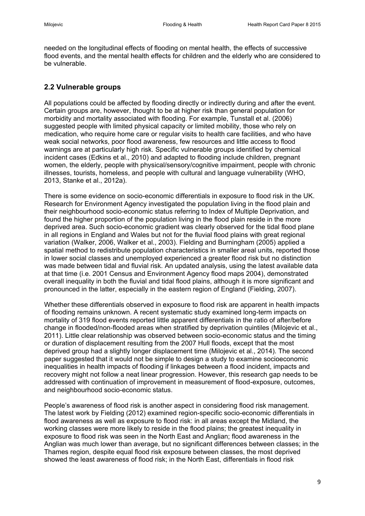needed on the longitudinal effects of flooding on mental health, the effects of successive flood events, and the mental health effects for children and the elderly who are considered to be vulnerable.

# **2.2 Vulnerable groups**

All populations could be affected by flooding directly or indirectly during and after the event. Certain groups are, however, thought to be at higher risk than general population for morbidity and mortality associated with flooding. For example, [Tunstall et al. \(2006\)](#page-17-2) suggested people with limited physical capacity or limited mobility, those who rely on medication, who require home care or regular visits to health care facilities, and who have weak social networks, poor flood awareness, few resources and little access to flood warnings are at particularly high risk. Specific vulnerable groups identified by chemical incident cases [\(Edkins et al., 2010\)](#page-15-14) and adapted to flooding include children, pregnant women, the elderly, people with physical/sensory/cognitive impairment, people with chronic illnesses, tourists, homeless, and people with cultural and language vulnerability [\(WHO,](#page-17-4)  [2013,](#page-17-4) [Stanke et al., 2012a\)](#page-17-10).

There is some evidence on socio-economic differentials in exposure to flood risk in the UK. Research for Environment Agency investigated the population living in the flood plain and their neighbourhood socio-economic status referring to Index of Multiple Deprivation, and found the higher proportion of the population living in the flood plain reside in the more deprived area. Such socio-economic gradient was clearly observed for the tidal flood plane in all regions in England and Wales but not for the fluvial flood plains with great regional variation [\(Walker, 2006,](#page-17-11) [Walker et al., 2003\)](#page-17-12). [Fielding and Burningham \(2005\)](#page-15-15) applied a spatial method to redistribute population characteristics in smaller areal units, reported those in lower social classes and unemployed experienced a greater flood risk but no distinction was made between tidal and fluvial risk. An updated analysis, using the latest available data at that time (i.e. 2001 Census and Environment Agency flood maps 2004), demonstrated overall inequality in both the fluvial and tidal flood plains, although it is more significant and pronounced in the latter, especially in the eastern region of England [\(Fielding, 2007\)](#page-15-16).

Whether these differentials observed in exposure to flood risk are apparent in health impacts of flooding remains unknown. A recent systematic study examined long-term impacts on mortality of 319 flood events reported little apparent differentials in the ratio of after/before change in flooded/non-flooded areas when stratified by deprivation quintiles [\(Milojevic et al.,](#page-16-4)  [2011\)](#page-16-4). Little clear relationship was observed between socio-economic status and the timing or duration of displacement resulting from the 2007 Hull floods, except that the most deprived group had a slightly longer displacement time [\(Milojevic et al., 2014\)](#page-16-14). The second paper suggested that it would not be simple to design a study to examine socioeconomic inequalities in health impacts of flooding if linkages between a flood incident, impacts and recovery might not follow a neat linear progression. However, this research gap needs to be addressed with continuation of improvement in measurement of flood-exposure, outcomes, and neighbourhood socio-economic status.

People's awareness of flood risk is another aspect in considering flood risk management. The latest work by [Fielding \(2012\)](#page-15-17) examined region-specific socio-economic differentials in flood awareness as well as exposure to flood risk: in all areas except the Midland, the working classes were more likely to reside in the flood plains; the greatest inequality in exposure to flood risk was seen in the North East and Anglian; flood awareness in the Anglian was much lower than average, but no significant differences between classes; in the Thames region, despite equal flood risk exposure between classes, the most deprived showed the least awareness of flood risk; in the North East, differentials in flood risk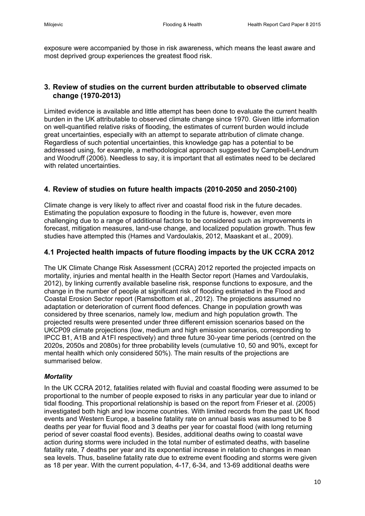exposure were accompanied by those in risk awareness, which means the least aware and most deprived group experiences the greatest flood risk.

# **3. Review of studies on the current burden attributable to observed climate change (1970-2013)**

Limited evidence is available and little attempt has been done to evaluate the current health burden in the UK attributable to observed climate change since 1970. Given little information on well-quantified relative risks of flooding, the estimates of current burden would include great uncertainties, especially with an attempt to separate attribution of climate change. Regardless of such potential uncertainties, this knowledge gap has a potential to be addressed using, for example, a methodological approach suggested by [Campbell-Lendrum](#page-15-18)  and Woodruff (2006). Needless to say, it is important that all estimates need to be declared with related uncertainties.

# **4. Review of studies on future health impacts (2010-2050 and 2050-2100)**

Climate change is very likely to affect river and coastal flood risk in the future decades. Estimating the population exposure to flooding in the future is, however, even more challenging due to a range of additional factors to be considered such as improvements in forecast, mitigation measures, land-use change, and localized population growth. Thus few studies have attempted this [\(Hames and Vardoulakis, 2012,](#page-16-15) [Maaskant et al., 2009\)](#page-16-16).

# **4.1 Projected health impacts of future flooding impacts by the UK CCRA 2012**

The UK Climate Change Risk Assessment (CCRA) 2012 reported the projected impacts on mortality, injuries and mental health in the Health Sector report [\(Hames and Vardoulakis,](#page-16-15)  [2012\)](#page-16-15), by linking currently available baseline risk, response functions to exposure, and the change in the number of people at significant risk of flooding estimated in the Flood and Coastal Erosion Sector report [\(Ramsbottom et al., 2012\)](#page-16-17). The projections assumed no adaptation or deterioration of current flood defences. Change in population growth was considered by three scenarios, namely low, medium and high population growth. The projected results were presented under three different emission scenarios based on the UKCP09 climate projections (low, medium and high emission scenarios, corresponding to IPCC B1, A1B and A1FI respectively) and three future 30-year time periods (centred on the 2020s, 2050s and 2080s) for three probability levels (cumulative 10, 50 and 90%, except for mental health which only considered 50%). The main results of the projections are summarised below.

#### *Mortality*

In the UK CCRA 2012, fatalities related with fluvial and coastal flooding were assumed to be proportional to the number of people exposed to risks in any particular year due to inland or tidal flooding. This proportional relationship is based on the report from [Frieser et al. \(2005\)](#page-15-19) investigated both high and low income countries. With limited records from the past UK flood events and Western Europe, a baseline fatality rate on annual basis was assumed to be 8 deaths per year for fluvial flood and 3 deaths per year for coastal flood (with long returning period of sever coastal flood events). Besides, additional deaths owing to coastal wave action during storms were included in the total number of estimated deaths, with baseline fatality rate, 7 deaths per year and its exponential increase in relation to changes in mean sea levels. Thus, baseline fatality rate due to extreme event flooding and storms were given as 18 per year. With the current population, 4-17, 6-34, and 13-69 additional deaths were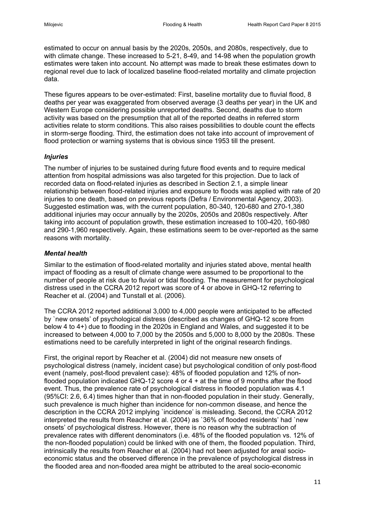estimated to occur on annual basis by the 2020s, 2050s, and 2080s, respectively, due to with climate change. These increased to 5-21, 8-49, and 14-98 when the population growth estimates were taken into account. No attempt was made to break these estimates down to regional revel due to lack of localized baseline flood-related mortality and climate projection data.

These figures appears to be over-estimated: First, baseline mortality due to fluvial flood, 8 deaths per year was exaggerated from observed average (3 deaths per year) in the UK and Western Europe considering possible unreported deaths. Second, deaths due to storm activity was based on the presumption that all of the reported deaths in referred storm activities relate to storm conditions. This also raises possibilities to double count the effects in storm-serge flooding. Third, the estimation does not take into account of improvement of flood protection or warning systems that is obvious since 1953 till the present.

#### *Injuries*

The number of injuries to be sustained during future flood events and to require medical attention from hospital admissions was also targeted for this projection. Due to lack of recorded data on flood-related injuries as described in Section 2.1, a simple linear relationship between flood-related injuries and exposure to floods was applied with rate of 20 injuries to one death, based on previous reports [\(Defra / Environmental Agency, 2003\)](#page-15-20). Suggested estimation was, with the current population, 80-340, 120-680 and 270-1,380 additional injuries may occur annually by the 2020s, 2050s and 2080s respectively. After taking into account of population growth, these estimation increased to 100-420, 160-980 and 290-1,960 respectively. Again, these estimations seem to be over-reported as the same reasons with mortality.

#### *Mental health*

Similar to the estimation of flood-related mortality and injuries stated above, mental health impact of flooding as a result of climate change were assumed to be proportional to the number of people at risk due to fluvial or tidal flooding. The measurement for psychological distress used in the CCRA 2012 report was score of 4 or above in GHQ-12 referring to [Reacher et al. \(2004\)](#page-16-6) and [Tunstall et al. \(2006\).](#page-17-2)

The CCRA 2012 reported additional 3,000 to 4,000 people were anticipated to be affected by `new onsets' of psychological distress (described as changes of GHQ-12 score from below 4 to 4+) due to flooding in the 2020s in England and Wales, and suggested it to be increased to between 4,000 to 7,000 by the 2050s and 5,000 to 8,000 by the 2080s. These estimations need to be carefully interpreted in light of the original research findings.

First, the original report by [Reacher et al. \(2004\)](#page-16-6) did not measure new onsets of psychological distress (namely, incident case) but psychological condition of only post-flood event (namely, post-flood prevalent case): 48% of flooded population and 12% of nonflooded population indicated GHQ-12 score 4 or 4 + at the time of 9 months after the flood event. Thus, the prevalence rate of psychological distress in flooded population was 4.1 (95%CI: 2.6, 6.4) times higher than that in non-flooded population in their study. Generally, such prevalence is much higher than incidence for non-common disease, and hence the description in the CCRA 2012 implying `incidence' is misleading. Second, the CCRA 2012 interpreted the results from [Reacher et al. \(2004\)](#page-16-6) as `36% of flooded residents' had `new onsets' of psychological distress. However, there is no reason why the subtraction of prevalence rates with different denominators (i.e. 48% of the flooded population vs. 12% of the non-flooded population) could be linked with one of them, the flooded population. Third, intrinsically the results from [Reacher et al. \(2004\)](#page-16-6) had not been adjusted for areal socioeconomic status and the observed difference in the prevalence of psychological distress in the flooded area and non-flooded area might be attributed to the areal socio-economic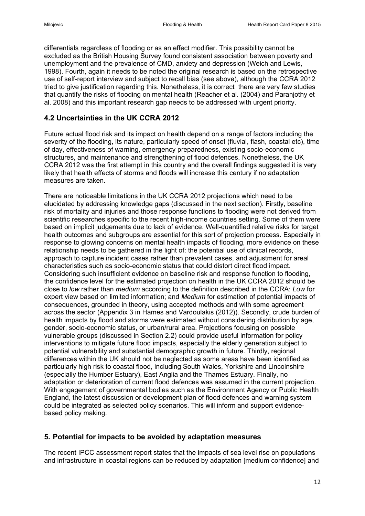differentials regardless of flooding or as an effect modifier. This possibility cannot be excluded as the British Housing Survey found consistent association between poverty and unemployment and the prevalence of CMD, anxiety and depression [\(Weich and Lewis,](#page-17-13)  [1998\)](#page-17-13). Fourth, again it needs to be noted the original research is based on the retrospective use of self-report interview and subject to recall bias (see above), although the CCRA 2012 tried to give justification regarding this. Nonetheless, it is correct there are very few studies that quantify the risks of flooding on mental health [\(Reacher et al. \(2004\)](#page-16-6) and Paranjothy et al. 2008) and this important research gap needs to be addressed with urgent priority.

# **4.2 Uncertainties in the UK CCRA 2012**

Future actual flood risk and its impact on health depend on a range of factors including the severity of the flooding, its nature, particularly speed of onset (fluvial, flash, coastal etc), time of day, effectiveness of warning, emergency preparedness, existing socio-economic structures, and maintenance and strengthening of flood defences. Nonetheless, the UK CCRA 2012 was the first attempt in this country and the overall findings suggested it is very likely that health effects of storms and floods will increase this century if no adaptation measures are taken.

There are noticeable limitations in the UK CCRA 2012 projections which need to be elucidated by addressing knowledge gaps (discussed in the next section). Firstly, baseline risk of mortality and injuries and those response functions to flooding were not derived from scientific researches specific to the recent high-income countries setting. Some of them were based on implicit judgements due to lack of evidence. Well-quantified relative risks for target health outcomes and subgroups are essential for this sort of projection process. Especially in response to glowing concerns on mental health impacts of flooding, more evidence on these relationship needs to be gathered in the light of: the potential use of clinical records, approach to capture incident cases rather than prevalent cases, and adjustment for areal characteristics such as socio-economic status that could distort direct flood impact. Considering such insufficient evidence on baseline risk and response function to flooding, the confidence level for the estimated projection on health in the UK CCRA 2012 should be close to *low* rather than *medium* according to the definition described in the CCRA: *Low* for expert view based on limited information; and *Medium* for estimation of potential impacts of consequences, grounded in theory, using accepted methods and with some agreement across the sector (Appendix 3 in [Hames and Vardoulakis \(2012\)\)](#page-16-0). Secondly, crude burden of health impacts by flood and storms were estimated without considering distribution by age, gender, socio-economic status, or urban/rural area. Projections focusing on possible vulnerable groups (discussed in Section 2.2) could provide useful information for policy interventions to mitigate future flood impacts, especially the elderly generation subject to potential vulnerability and substantial demographic growth in future. Thirdly, regional differences within the UK should not be neglected as some areas have been identified as particularly high risk to coastal flood, including South Wales, Yorkshire and Lincolnshire (especially the Humber Estuary), East Anglia and the Thames Estuary. Finally, no adaptation or deterioration of current flood defences was assumed in the current projection. With engagement of governmental bodies such as the Environment Agency or Public Health England, the latest discussion or development plan of flood defences and warning system could be integrated as selected policy scenarios. This will inform and support evidencebased policy making.

#### **5. Potential for impacts to be avoided by adaptation measures**

The recent IPCC assessment report states that the impacts of sea level rise on populations and infrastructure in coastal regions can be reduced by adaptation [medium confidence] and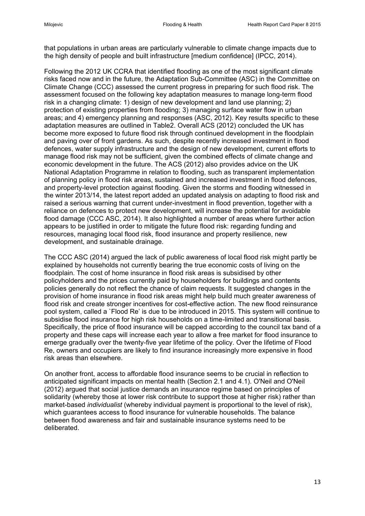that populations in urban areas are particularly vulnerable to climate change impacts due to the high density of people and built infrastructure [medium confidence] [\(IPCC, 2014\)](#page-16-0).

Following the 2012 UK CCRA that identified flooding as one of the most significant climate risks faced now and in the future, the Adaptation Sub-Committee (ASC) in the Committee on Climate Change (CCC) assessed the current progress in preparing for such flood risk. The assessment focused on the following key adaptation measures to manage long-term flood risk in a changing climate: 1) design of new development and land use planning; 2) protection of existing properties from flooding; 3) managing surface water flow in urban areas; and 4) emergency planning and responses [\(ASC, 2012\)](#page-15-21). Key results specific to these adaptation measures are outlined in Table2. Overall ACS (2012) concluded the UK has become more exposed to future flood risk through continued development in the floodplain and paving over of front gardens. As such, despite recently increased investment in flood defences, water supply infrastructure and the design of new development, current efforts to manage flood risk may not be sufficient, given the combined effects of climate change and economic development in the future. The ACS (2012) also provides advice on the UK National Adaptation Programme in relation to flooding, such as transparent implementation of planning policy in flood risk areas, sustained and increased investment in flood defences, and property-level protection against flooding. Given the storms and flooding witnessed in the winter 2013/14, the latest report added an updated analysis on adapting to flood risk and raised a serious warning that current under-investment in flood prevention, together with a reliance on defences to protect new development, will increase the potential for avoidable flood damage [\(CCC ASC, 2014\)](#page-15-12). It also highlighted a number of areas where further action appears to be justified in order to mitigate the future flood risk: regarding funding and resources, managing local flood risk, flood insurance and property resilience, new development, and sustainable drainage.

The [CCC ASC \(2014\)](#page-15-12) argued the lack of public awareness of local flood risk might partly be explained by households not currently bearing the true economic costs of living on the floodplain. The cost of home insurance in flood risk areas is subsidised by other policyholders and the prices currently paid by householders for buildings and contents policies generally do not reflect the chance of claim requests. It suggested changes in the provision of home insurance in flood risk areas might help build much greater awareness of flood risk and create stronger incentives for cost-effective action. The new flood reinsurance pool system, called a `Flood Re' is due to be introduced in 2015. This system will continue to subsidise flood insurance for high risk households on a time-limited and transitional basis. Specifically, the price of flood insurance will be capped according to the council tax band of a property and these caps will increase each year to allow a free market for flood insurance to emerge gradually over the twenty-five year lifetime of the policy. Over the lifetime of Flood Re, owners and occupiers are likely to find insurance increasingly more expensive in flood risk areas than elsewhere.

On another front, access to affordable flood insurance seems to be crucial in reflection to anticipated significant impacts on mental health (Section 2.1 and 4.1). O'Neil [and O'Neil](#page-16-18)  (2012) argued that social justice demands an insurance regime based on principles of solidarity (whereby those at lower risk contribute to support those at higher risk) rather than market-based *individualist* (whereby individual payment is proportional to the level of risk), which guarantees access to flood insurance for vulnerable households. The balance between flood awareness and fair and sustainable insurance systems need to be deliberated.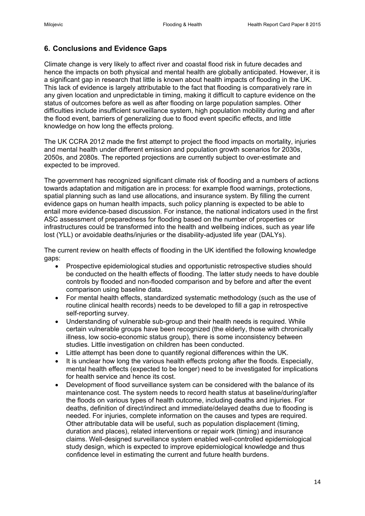# **6. Conclusions and Evidence Gaps**

Climate change is very likely to affect river and coastal flood risk in future decades and hence the impacts on both physical and mental health are globally anticipated. However, it is a significant gap in research that little is known about health impacts of flooding in the UK. This lack of evidence is largely attributable to the fact that flooding is comparatively rare in any given location and unpredictable in timing, making it difficult to capture evidence on the status of outcomes before as well as after flooding on large population samples. Other difficulties include insufficient surveillance system, high population mobility during and after the flood event, barriers of generalizing due to flood event specific effects, and little knowledge on how long the effects prolong.

The UK CCRA 2012 made the first attempt to project the flood impacts on mortality, injuries and mental health under different emission and population growth scenarios for 2030s, 2050s, and 2080s. The reported projections are currently subject to over-estimate and expected to be improved.

The government has recognized significant climate risk of flooding and a numbers of actions towards adaptation and mitigation are in process: for example flood warnings, protections, spatial planning such as land use allocations, and insurance system. By filling the current evidence gaps on human health impacts, such policy planning is expected to be able to entail more evidence-based discussion. For instance, the national indicators used in the first ASC assessment of preparedness for flooding based on the number of properties or infrastructures could be transformed into the health and wellbeing indices, such as year life lost (YLL) or avoidable deaths/injuries or the disability-adjusted life year (DALYs).

The current review on health effects of flooding in the UK identified the following knowledge gaps:

- Prospective epidemiological studies and opportunistic retrospective studies should be conducted on the health effects of flooding. The latter study needs to have double controls by flooded and non-flooded comparison and by before and after the event comparison using baseline data.
- For mental health effects, standardized systematic methodology (such as the use of routine clinical health records) needs to be developed to fill a gap in retrospective self-reporting survey.
- Understanding of vulnerable sub-group and their health needs is required. While certain vulnerable groups have been recognized (the elderly, those with chronically illness, low socio-economic status group), there is some inconsistency between studies. Little investigation on children has been conducted.
- Little attempt has been done to quantify regional differences within the UK.
- It is unclear how long the various health effects prolong after the floods. Especially, mental health effects (expected to be longer) need to be investigated for implications for health service and hence its cost.
- Development of flood surveillance system can be considered with the balance of its maintenance cost. The system needs to record health status at baseline/during/after the floods on various types of health outcome, including deaths and injuries. For deaths, definition of direct/indirect and immediate/delayed deaths due to flooding is needed. For injuries, complete information on the causes and types are required. Other attributable data will be useful, such as population displacement (timing, duration and places), related interventions or repair work (timing) and insurance claims. Well-designed surveillance system enabled well-controlled epidemiological study design, which is expected to improve epidemiological knowledge and thus confidence level in estimating the current and future health burdens.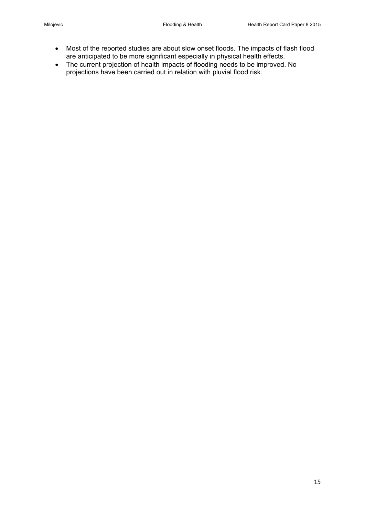- Most of the reported studies are about slow onset floods. The impacts of flash flood are anticipated to be more significant especially in physical health effects.
- The current projection of health impacts of flooding needs to be improved. No projections have been carried out in relation with pluvial flood risk.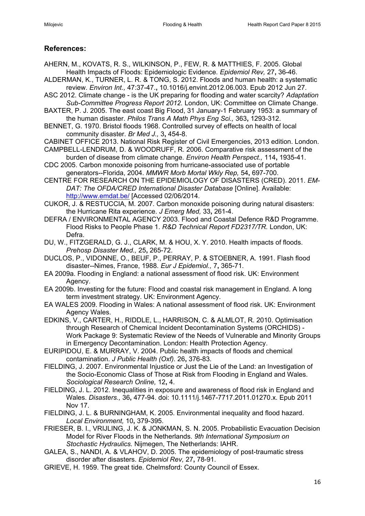# **References:**

- <span id="page-15-5"></span>AHERN, M., KOVATS, R. S., WILKINSON, P., FEW, R. & MATTHIES, F. 2005. Global Health Impacts of Floods: Epidemiologic Evidence. *Epidemiol Rev,* 27**,** 36-46.
- <span id="page-15-7"></span>ALDERMAN, K., TURNER, L. R. & TONG, S. 2012. Floods and human health: a systematic review. *Environ Int.,* 47:37-47.**,** 10.1016/j.envint.2012.06.003. Epub 2012 Jun 27.
- <span id="page-15-21"></span>ASC 2012. Climate change - is the UK preparing for flooding and water scarcity? *Adaptation Sub-Committee Progress Report 2012.* London, UK: Committee on Climate Change.
- <span id="page-15-8"></span>BAXTER, P. J. 2005. The east coast Big Flood, 31 January-1 February 1953: a summary of the human disaster. *Philos Trans A Math Phys Eng Sci.,* 363**,** 1293-312.
- <span id="page-15-10"></span>BENNET, G. 1970. Bristol floods 1968. Controlled survey of effects on health of local community disaster. *Br Med J.,* 3**,** 454-8.
- <span id="page-15-3"></span>CABINET OFFICE 2013. National Risk Register of Civil Emergencies, 2013 edition. London.
- <span id="page-15-18"></span>CAMPBELL-LENDRUM, D. & WOODRUFF, R. 2006. Comparative risk assessment of the burden of disease from climate change. *Environ Health Perspect.,* 114**,** 1935-41.
- <span id="page-15-12"></span>CDC 2005. Carbon monoxide poisoning from hurricane-associated use of portable generators--Florida, 2004. *MMWR Morb Mortal Wkly Rep,* 54**,** 697-700.
- <span id="page-15-0"></span>CENTRE FOR RESEARCH ON THE EPIDEMIOLOGY OF DISASTERS (CRED). 2011. *EM-DAT: The OFDA/CRED International Disaster Database* [Online]. Available: <http://www.emdat.be/> [Accessed 02/06/2014.
- <span id="page-15-13"></span>CUKOR, J. & RESTUCCIA, M. 2007. Carbon monoxide poisoning during natural disasters: the Hurricane Rita experience. *J Emerg Med,* 33**,** 261-4.
- <span id="page-15-20"></span>DEFRA / ENVIRONMENTAL AGENCY 2003. Flood and Coastal Defence R&D Programme. Flood Risks to People Phase 1. *R&D Technical Report FD2317/TR.* London, UK: Defra.
- <span id="page-15-4"></span>DU, W., FITZGERALD, G. J., CLARK, M. & HOU, X. Y. 2010. Health impacts of floods. *Prehosp Disaster Med.,* 25**,** 265-72.
- <span id="page-15-11"></span>DUCLOS, P., VIDONNE, O., BEUF, P., PERRAY, P. & STOEBNER, A. 1991. Flash flood disaster--Nimes, France, 1988. *Eur J Epidemiol.,* 7**,** 365-71.
- EA 2009a. Flooding in England: a national assessment of flood risk. UK: Environment Agency.
- <span id="page-15-1"></span>EA 2009b. Investing for the future: Flood and coastal risk management in England. A long term investment strategy. UK: Environment Agency.
- EA WALES 2009. Flooding in Wales: A national assessment of flood risk. UK: Environment Agency Wales.
- <span id="page-15-14"></span>EDKINS, V., CARTER, H., RIDDLE, L., HARRISON, C. & ALMLOT, R. 2010. Optimisation through Research of Chemical Incident Decontamination Systems (ORCHIDS) - Work Package 9: Systematic Review of the Needs of Vulnerable and Minority Groups in Emergency Decontamination. London: Health Protection Agency.
- <span id="page-15-2"></span>EURIPIDOU, E. & MURRAY, V. 2004. Public health impacts of floods and chemical contamination. *J Public Health (Oxf).* 26**,** 376-83.
- <span id="page-15-16"></span>FIELDING, J. 2007. Environmental Injustice or Just the Lie of the Land: an Investigation of the Socio-Economic Class of Those at Risk from Flooding in England and Wales. *Sociological Research Online,* 12**,** 4.
- <span id="page-15-17"></span>FIELDING, J. L. 2012. Inequalities in exposure and awareness of flood risk in England and Wales. *Disasters.,* 36**,** 477-94. doi: 10.1111/j.1467-7717.2011.01270.x. Epub 2011 Nov 17.
- <span id="page-15-15"></span>FIELDING, J. L. & BURNINGHAM, K. 2005. Environmental inequality and flood hazard. *Local Environment,* 10**,** 379-395.
- <span id="page-15-19"></span>FRIESER, B. I., VRIJLING, J. K. & JONKMAN, S. N. 2005. Probabilistic Evacuation Decision Model for River Floods in the Netherlands. *9th International Symposium on Stochastic Hydraulics.* Nijmegen, The Netherlands: IAHR.
- <span id="page-15-6"></span>GALEA, S., NANDI, A. & VLAHOV, D. 2005. The epidemiology of post-traumatic stress disorder after disasters. *Epidemiol Rev,* 27**,** 78-91.
- <span id="page-15-9"></span>GRIEVE, H. 1959. The great tide. Chelmsford: County Council of Essex.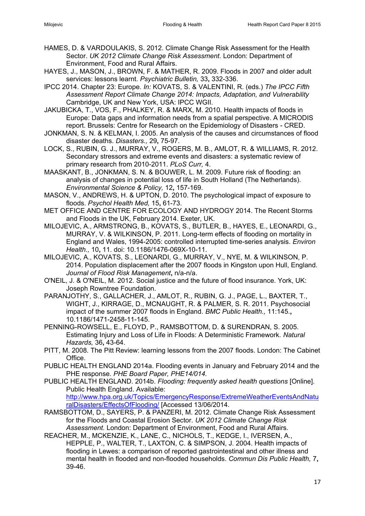- <span id="page-16-15"></span>HAMES, D. & VARDOULAKIS, S. 2012. Climate Change Risk Assessment for the Health Sector. *UK 2012 Climate Change Risk Assessment.* London: Department of Environment, Food and Rural Affairs.
- <span id="page-16-12"></span>HAYES, J., MASON, J., BROWN, F. & MATHER, R. 2009. Floods in 2007 and older adult services: lessons learnt. *Psychiatric Bulletin,* 33**,** 332-336.
- <span id="page-16-0"></span>IPCC 2014. Chapter 23: Europe. *In:* KOVATS, S. & VALENTINI, R. (eds.) *The IPCC Fifth Assessment Report Climate Change 2014: Impacts, Adaptation, and Vulnerability*  Cambridge, UK and New York, USA: IPCC WGII.
- <span id="page-16-5"></span>JAKUBICKA, T., VOS, F., PHALKEY, R. & MARX, M. 2010. Health impacts of floods in Europe: Data gaps and information needs from a spatial perspective. A MICRODIS report. Brussels: Centre for Research on the Epidemiology of Disasters - CRED.
- <span id="page-16-2"></span>JONKMAN, S. N. & KELMAN, I. 2005. An analysis of the causes and circumstances of flood disaster deaths. *Disasters.,* 29**,** 75-97.
- <span id="page-16-13"></span>LOCK, S., RUBIN, G. J., MURRAY, V., ROGERS, M. B., AMLOT, R. & WILLIAMS, R. 2012. Secondary stressors and extreme events and disasters: a systematic review of primary research from 2010-2011. *PLoS Curr,* 4.
- <span id="page-16-16"></span>MAASKANT, B., JONKMAN, S. N. & BOUWER, L. M. 2009. Future risk of flooding: an analysis of changes in potential loss of life in South Holland (The Netherlands). *Environmental Science & Policy,* 12**,** 157-169.
- <span id="page-16-10"></span>MASON, V., ANDREWS, H. & UPTON, D. 2010. The psychological impact of exposure to floods. *Psychol Health Med,* 15**,** 61-73.
- <span id="page-16-3"></span>MET OFFICE AND CENTRE FOR ECOLOGY AND HYDROGY 2014. The Recent Storms and Floods in the UK, February 2014. Exeter, UK.
- <span id="page-16-4"></span>MILOJEVIC, A., ARMSTRONG, B., KOVATS, S., BUTLER, B., HAYES, E., LEONARDI, G., MURRAY, V. & WILKINSON, P. 2011. Long-term effects of flooding on mortality in England and Wales, 1994-2005: controlled interrupted time-series analysis. *Environ Health.,* 10**,** 11. doi: 10.1186/1476-069X-10-11.
- <span id="page-16-14"></span>MILOJEVIC, A., KOVATS, S., LEONARDI, G., MURRAY, V., NYE, M. & WILKINSON, P. 2014. Population displacement after the 2007 floods in Kingston upon Hull, England. *Journal of Flood Risk Management***,** n/a-n/a.
- <span id="page-16-18"></span>O'NEIL, J. & O'NEIL, M. 2012. Social justice and the future of flood insurance. York, UK: Joseph Rowntree Foundation.
- <span id="page-16-11"></span>PARANJOTHY, S., GALLACHER, J., AMLOT, R., RUBIN, G. J., PAGE, L., BAXTER, T., WIGHT, J., KIRRAGE, D., MCNAUGHT, R. & PALMER, S. R. 2011. Psychosocial impact of the summer 2007 floods in England. *BMC Public Health.,* 11:145.**,** 10.1186/1471-2458-11-145.
- <span id="page-16-1"></span>PENNING-ROWSELL, E., FLOYD, P., RAMSBOTTOM, D. & SURENDRAN, S. 2005. Estimating Injury and Loss of Life in Floods: A Deterministic Framework. *Natural Hazards,* 36**,** 43-64.
- <span id="page-16-9"></span>PITT, M. 2008. The Pitt Review: learning lessons from the 2007 floods. London: The Cabinet Office.
- <span id="page-16-8"></span>PUBLIC HEALTH ENGLAND 2014a. Flooding events in January and February 2014 and the PHE response. *PHE Board Paper, PHE14/014.*
- <span id="page-16-7"></span>PUBLIC HEALTH ENGLAND. 2014b. *Flooding: frequently asked health questions* [Online]. Public Health England. Available: [http://www.hpa.org.uk/Topics/EmergencyResponse/ExtremeWeatherEventsAndNatu](http://www.hpa.org.uk/Topics/EmergencyResponse/ExtremeWeatherEventsAndNaturalDisasters/EffectsOfFlooding/) [ralDisasters/EffectsOfFlooding/](http://www.hpa.org.uk/Topics/EmergencyResponse/ExtremeWeatherEventsAndNaturalDisasters/EffectsOfFlooding/) [Accessed 13/06/2014.
- <span id="page-16-17"></span>RAMSBOTTOM, D., SAYERS, P. & PANZERI, M. 2012. Climate Change Risk Assessment for the Floods and Coastal Erosion Sector. *UK 2012 Climate Change Risk Assessment.* London: Department of Environment, Food and Rural Affairs.
- <span id="page-16-6"></span>REACHER, M., MCKENZIE, K., LANE, C., NICHOLS, T., KEDGE, I., IVERSEN, A., HEPPLE, P., WALTER, T., LAXTON, C. & SIMPSON, J. 2004. Health impacts of flooding in Lewes: a comparison of reported gastrointestinal and other illness and mental health in flooded and non-flooded households. *Commun Dis Public Health,* 7**,** 39-46.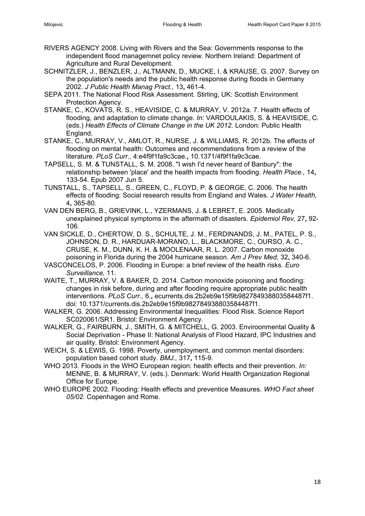- <span id="page-17-6"></span>RIVERS AGENCY 2008. Living with Rivers and the Sea: Governments response to the independent flood managemnet policy review. Northern Ireland: Department of Agriculture and Rural Development.
- SCHNITZLER, J., BENZLER, J., ALTMANN, D., MUCKE, I. & KRAUSE, G. 2007. Survey on the population's needs and the public health response during floods in Germany 2002. *J Public Health Manag Pract.,* 13**,** 461-4.
- <span id="page-17-10"></span>SEPA 2011. The National Flood Risk Assessment. Stirling, UK: Scottish Environment Protection Agency.
- STANKE, C., KOVATS, R. S., HEAVISIDE, C. & MURRAY, V. 2012a. 7. Health effects of flooding, and adaptation to climate change. *In:* VARDOULAKIS, S. & HEAVISIDE, C. (eds.) *Health Effects of Climate Change in the UK 2012.* London: Public Health England.
- <span id="page-17-1"></span>STANKE, C., MURRAY, V., AMLOT, R., NURSE, J. & WILLIAMS, R. 2012b. The effects of flooding on mental health: Outcomes and recommendations from a review of the literature. *PLoS Curr.,* 4:e4f9f1fa9c3cae.**,** 10.1371/4f9f1fa9c3cae.
- <span id="page-17-9"></span>TAPSELL, S. M. & TUNSTALL, S. M. 2008. "I wish I'd never heard of Banbury": the relationship between 'place' and the health impacts from flooding. *Health Place.,* 14**,** 133-54. Epub 2007 Jun 5.
- <span id="page-17-2"></span>TUNSTALL, S., TAPSELL, S., GREEN, C., FLOYD, P. & GEORGE, C. 2006. The health effects of flooding: Social research results from England and Wales. *J Water Health,* 4**,** 365-80.
- <span id="page-17-0"></span>VAN DEN BERG, B., GRIEVINK, L., YZERMANS, J. & LEBRET, E. 2005. Medically unexplained physical symptoms in the aftermath of disasters. *Epidemiol Rev,* 27**,** 92- 106.
- <span id="page-17-7"></span>VAN SICKLE, D., CHERTOW, D. S., SCHULTE, J. M., FERDINANDS, J. M., PATEL, P. S., JOHNSON, D. R., HARDUAR-MORANO, L., BLACKMORE, C., OURSO, A. C., CRUSE, K. M., DUNN, K. H. & MOOLENAAR, R. L. 2007. Carbon monoxide poisoning in Florida during the 2004 hurricane season. *Am J Prev Med,* 32**,** 340-6.
- <span id="page-17-5"></span>VASCONCELOS, P. 2006. Flooding in Europe: a brief review of the health risks. *Euro Surveillance,* 11.
- <span id="page-17-8"></span>WAITE, T., MURRAY, V. & BAKER, D. 2014. Carbon monoxide poisoning and flooding: changes in risk before, during and after flooding require appropriate public health interventions. *PLoS Curr.,* 6.**,** ecurrents.dis.2b2eb9e15f9b982784938803584487f1. doi: 10.1371/currents.dis.2b2eb9e15f9b982784938803584487f1.
- <span id="page-17-11"></span>WALKER, G. 2006. Addressing Environmental Inequalities: Flood Risk. Science Report SC020061/SR1. Bristol: Environment Agency.
- <span id="page-17-12"></span>WALKER, G., FAIRBURN, J., SMITH, G. & MITCHELL, G. 2003. Enviroonmental Quality & Social Deprivation - Phase II: National Analysis of Flood Hazard, IPC Industries and air quality. Bristol: Environment Agency.
- <span id="page-17-13"></span>WEICH, S. & LEWIS, G. 1998. Poverty, unemployment, and common mental disorders: population based cohort study. *BMJ.,* 317**,** 115-9.
- <span id="page-17-4"></span>WHO 2013. Floods in the WHO European region: health effects and their prevention. *In:* MENNE, B. & MURRAY, V. (eds.). Denmark: World Health Organization Regional Office for Europe.
- <span id="page-17-3"></span>WHO EUROPE 2002. Flooding: Health effects and preventice Measures. *WHO Fact sheet 05/02.* Copenhagen and Rome.